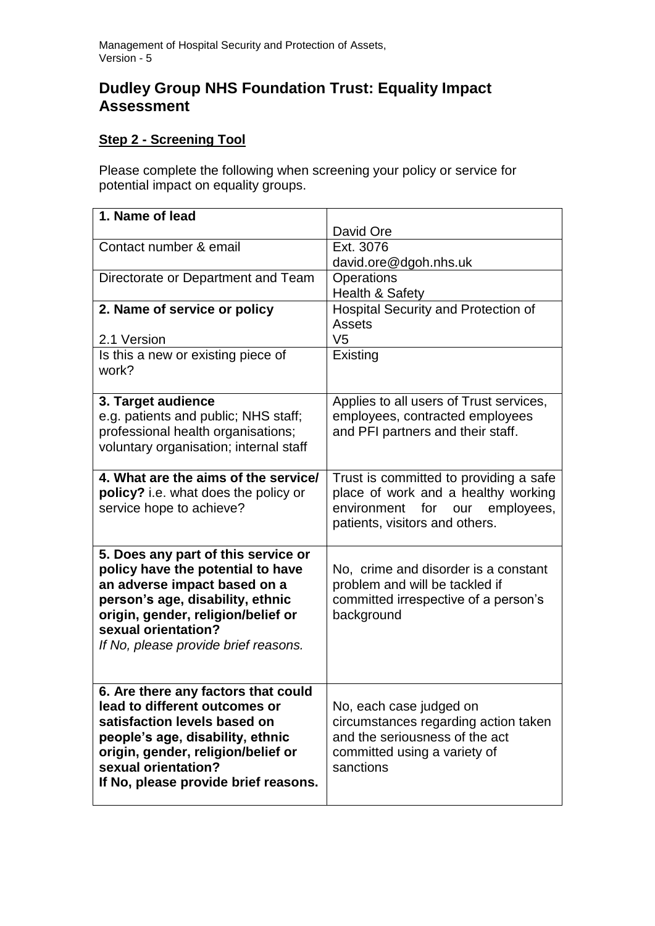## **Dudley Group NHS Foundation Trust: Equality Impact Assessment**

## **Step 2 - Screening Tool**

Please complete the following when screening your policy or service for potential impact on equality groups.

| 1. Name of lead                        |                                         |
|----------------------------------------|-----------------------------------------|
|                                        | David Ore                               |
| Contact number & email                 | Ext. 3076                               |
|                                        | david.ore@dgoh.nhs.uk                   |
| Directorate or Department and Team     | Operations                              |
|                                        | Health & Safety                         |
| 2. Name of service or policy           | Hospital Security and Protection of     |
|                                        | Assets                                  |
| 2.1 Version                            | V <sub>5</sub>                          |
| Is this a new or existing piece of     | Existing                                |
| work?                                  |                                         |
|                                        |                                         |
| 3. Target audience                     | Applies to all users of Trust services, |
| e.g. patients and public; NHS staff;   | employees, contracted employees         |
| professional health organisations;     | and PFI partners and their staff.       |
| voluntary organisation; internal staff |                                         |
|                                        |                                         |
| 4. What are the aims of the service/   | Trust is committed to providing a safe  |
| policy? i.e. what does the policy or   | place of work and a healthy working     |
| service hope to achieve?               | environment<br>for<br>employees,<br>our |
|                                        | patients, visitors and others.          |
| 5. Does any part of this service or    |                                         |
| policy have the potential to have      | No, crime and disorder is a constant    |
| an adverse impact based on a           | problem and will be tackled if          |
| person's age, disability, ethnic       | committed irrespective of a person's    |
| origin, gender, religion/belief or     | background                              |
| sexual orientation?                    |                                         |
| If No, please provide brief reasons.   |                                         |
|                                        |                                         |
|                                        |                                         |
| 6. Are there any factors that could    |                                         |
| lead to different outcomes or          | No, each case judged on                 |
| satisfaction levels based on           | circumstances regarding action taken    |
| people's age, disability, ethnic       | and the seriousness of the act          |
| origin, gender, religion/belief or     | committed using a variety of            |
| sexual orientation?                    | sanctions                               |
| If No, please provide brief reasons.   |                                         |
|                                        |                                         |